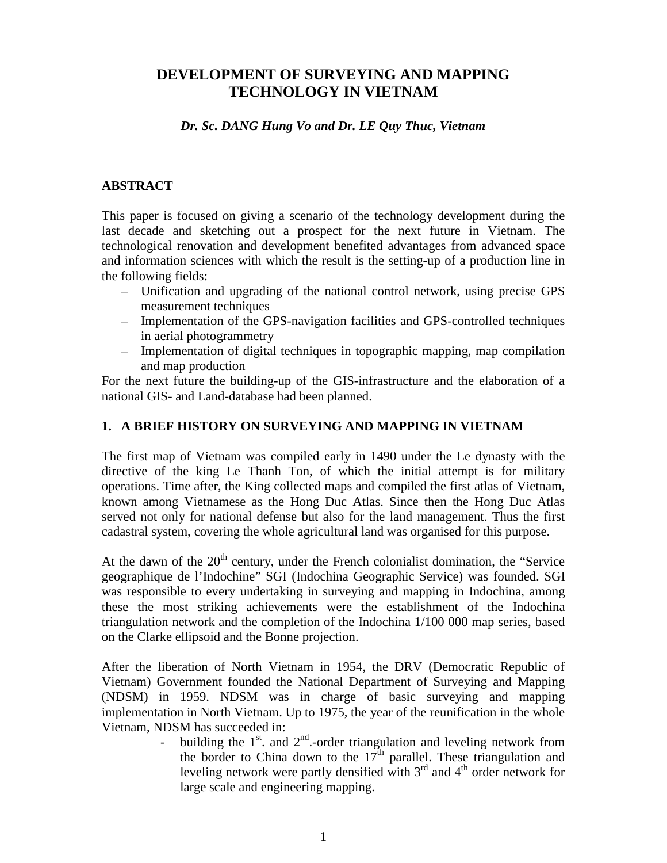# **DEVELOPMENT OF SURVEYING AND MAPPING TECHNOLOGY IN VIETNAM**

#### *Dr. Sc. DANG Hung Vo and Dr. LE Quy Thuc, Vietnam*

### **ABSTRACT**

This paper is focused on giving a scenario of the technology development during the last decade and sketching out a prospect for the next future in Vietnam. The technological renovation and development benefited advantages from advanced space and information sciences with which the result is the setting-up of a production line in the following fields:

- Unification and upgrading of the national control network, using precise GPS measurement techniques
- Implementation of the GPS-navigation facilities and GPS-controlled techniques in aerial photogrammetry
- Implementation of digital techniques in topographic mapping, map compilation and map production

For the next future the building-up of the GIS-infrastructure and the elaboration of a national GIS- and Land-database had been planned.

### **1. A BRIEF HISTORY ON SURVEYING AND MAPPING IN VIETNAM**

The first map of Vietnam was compiled early in 1490 under the Le dynasty with the directive of the king Le Thanh Ton, of which the initial attempt is for military operations. Time after, the King collected maps and compiled the first atlas of Vietnam, known among Vietnamese as the Hong Duc Atlas. Since then the Hong Duc Atlas served not only for national defense but also for the land management. Thus the first cadastral system, covering the whole agricultural land was organised for this purpose.

At the dawn of the  $20<sup>th</sup>$  century, under the French colonialist domination, the "Service geographique de l'Indochine" SGI (Indochina Geographic Service) was founded. SGI was responsible to every undertaking in surveying and mapping in Indochina, among these the most striking achievements were the establishment of the Indochina triangulation network and the completion of the Indochina 1/100 000 map series, based on the Clarke ellipsoid and the Bonne projection.

After the liberation of North Vietnam in 1954, the DRV (Democratic Republic of Vietnam) Government founded the National Department of Surveying and Mapping (NDSM) in 1959. NDSM was in charge of basic surveying and mapping implementation in North Vietnam. Up to 1975, the year of the reunification in the whole Vietnam, NDSM has succeeded in:

building the  $1<sup>st</sup>$  and  $2<sup>nd</sup>$ -order triangulation and leveling network from the border to China down to the  $17<sup>th</sup>$  parallel. These triangulation and leveling network were partly densified with  $3<sup>rd</sup>$  and  $4<sup>th</sup>$  order network for large scale and engineering mapping.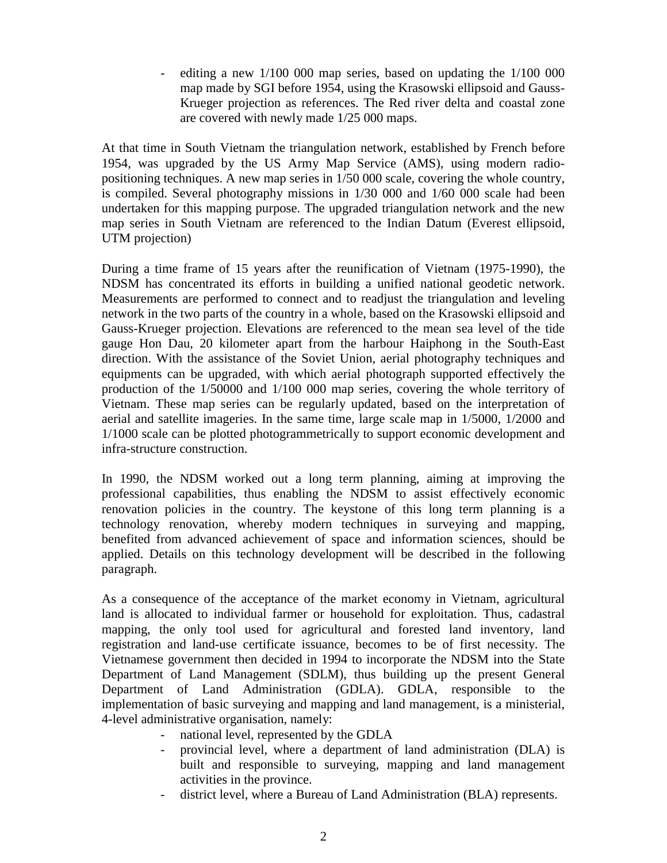- editing a new 1/100 000 map series, based on updating the 1/100 000 map made by SGI before 1954, using the Krasowski ellipsoid and Gauss-Krueger projection as references. The Red river delta and coastal zone are covered with newly made 1/25 000 maps.

At that time in South Vietnam the triangulation network, established by French before 1954, was upgraded by the US Army Map Service (AMS), using modern radiopositioning techniques. A new map series in 1/50 000 scale, covering the whole country, is compiled. Several photography missions in 1/30 000 and 1/60 000 scale had been undertaken for this mapping purpose. The upgraded triangulation network and the new map series in South Vietnam are referenced to the Indian Datum (Everest ellipsoid, UTM projection)

During a time frame of 15 years after the reunification of Vietnam (1975-1990), the NDSM has concentrated its efforts in building a unified national geodetic network. Measurements are performed to connect and to readjust the triangulation and leveling network in the two parts of the country in a whole, based on the Krasowski ellipsoid and Gauss-Krueger projection. Elevations are referenced to the mean sea level of the tide gauge Hon Dau, 20 kilometer apart from the harbour Haiphong in the South-East direction. With the assistance of the Soviet Union, aerial photography techniques and equipments can be upgraded, with which aerial photograph supported effectively the production of the 1/50000 and 1/100 000 map series, covering the whole territory of Vietnam. These map series can be regularly updated, based on the interpretation of aerial and satellite imageries. In the same time, large scale map in 1/5000, 1/2000 and 1/1000 scale can be plotted photogrammetrically to support economic development and infra-structure construction.

In 1990, the NDSM worked out a long term planning, aiming at improving the professional capabilities, thus enabling the NDSM to assist effectively economic renovation policies in the country. The keystone of this long term planning is a technology renovation, whereby modern techniques in surveying and mapping, benefited from advanced achievement of space and information sciences, should be applied. Details on this technology development will be described in the following paragraph.

As a consequence of the acceptance of the market economy in Vietnam, agricultural land is allocated to individual farmer or household for exploitation. Thus, cadastral mapping, the only tool used for agricultural and forested land inventory, land registration and land-use certificate issuance, becomes to be of first necessity. The Vietnamese government then decided in 1994 to incorporate the NDSM into the State Department of Land Management (SDLM), thus building up the present General Department of Land Administration (GDLA). GDLA, responsible to the implementation of basic surveying and mapping and land management, is a ministerial, 4-level administrative organisation, namely:

- national level, represented by the GDLA
- provincial level, where a department of land administration (DLA) is built and responsible to surveying, mapping and land management activities in the province.
- district level, where a Bureau of Land Administration (BLA) represents.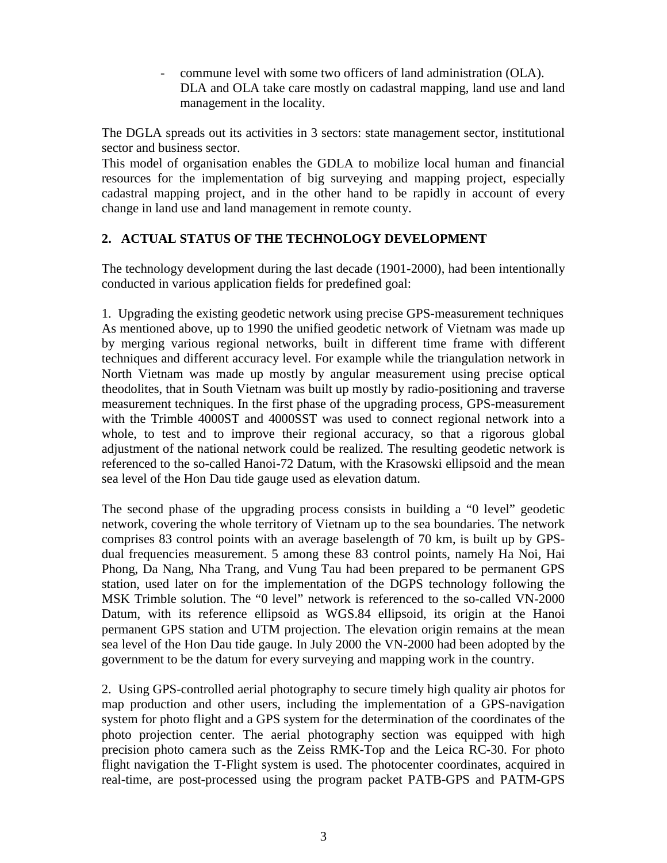- commune level with some two officers of land administration (OLA). DLA and OLA take care mostly on cadastral mapping, land use and land management in the locality.

The DGLA spreads out its activities in 3 sectors: state management sector, institutional sector and business sector.

This model of organisation enables the GDLA to mobilize local human and financial resources for the implementation of big surveying and mapping project, especially cadastral mapping project, and in the other hand to be rapidly in account of every change in land use and land management in remote county.

### **2. ACTUAL STATUS OF THE TECHNOLOGY DEVELOPMENT**

The technology development during the last decade (1901-2000), had been intentionally conducted in various application fields for predefined goal:

1. Upgrading the existing geodetic network using precise GPS-measurement techniques As mentioned above, up to 1990 the unified geodetic network of Vietnam was made up by merging various regional networks, built in different time frame with different techniques and different accuracy level. For example while the triangulation network in North Vietnam was made up mostly by angular measurement using precise optical theodolites, that in South Vietnam was built up mostly by radio-positioning and traverse measurement techniques. In the first phase of the upgrading process, GPS-measurement with the Trimble 4000ST and 4000SST was used to connect regional network into a whole, to test and to improve their regional accuracy, so that a rigorous global adjustment of the national network could be realized. The resulting geodetic network is referenced to the so-called Hanoi-72 Datum, with the Krasowski ellipsoid and the mean sea level of the Hon Dau tide gauge used as elevation datum.

The second phase of the upgrading process consists in building a "0 level" geodetic network, covering the whole territory of Vietnam up to the sea boundaries. The network comprises 83 control points with an average baselength of 70 km, is built up by GPSdual frequencies measurement. 5 among these 83 control points, namely Ha Noi, Hai Phong, Da Nang, Nha Trang, and Vung Tau had been prepared to be permanent GPS station, used later on for the implementation of the DGPS technology following the MSK Trimble solution. The "0 level" network is referenced to the so-called VN-2000 Datum, with its reference ellipsoid as WGS.84 ellipsoid, its origin at the Hanoi permanent GPS station and UTM projection. The elevation origin remains at the mean sea level of the Hon Dau tide gauge. In July 2000 the VN-2000 had been adopted by the government to be the datum for every surveying and mapping work in the country.

2. Using GPS-controlled aerial photography to secure timely high quality air photos for map production and other users, including the implementation of a GPS-navigation system for photo flight and a GPS system for the determination of the coordinates of the photo projection center. The aerial photography section was equipped with high precision photo camera such as the Zeiss RMK-Top and the Leica RC-30. For photo flight navigation the T-Flight system is used. The photocenter coordinates, acquired in real-time, are post-processed using the program packet PATB-GPS and PATM-GPS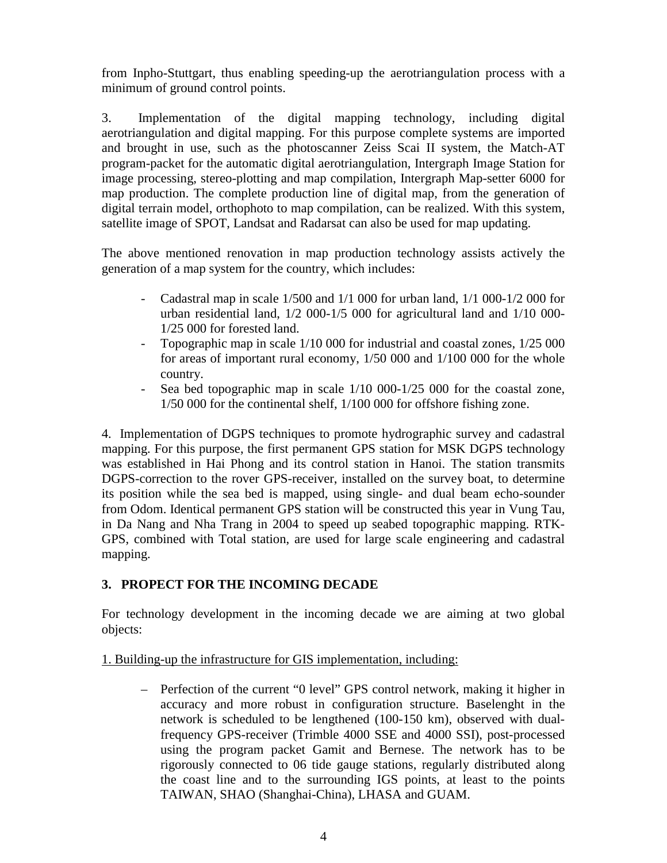from Inpho-Stuttgart, thus enabling speeding-up the aerotriangulation process with a minimum of ground control points.

3. Implementation of the digital mapping technology, including digital aerotriangulation and digital mapping. For this purpose complete systems are imported and brought in use, such as the photoscanner Zeiss Scai II system, the Match-AT program-packet for the automatic digital aerotriangulation, Intergraph Image Station for image processing, stereo-plotting and map compilation, Intergraph Map-setter 6000 for map production. The complete production line of digital map, from the generation of digital terrain model, orthophoto to map compilation, can be realized. With this system, satellite image of SPOT, Landsat and Radarsat can also be used for map updating.

The above mentioned renovation in map production technology assists actively the generation of a map system for the country, which includes:

- Cadastral map in scale 1/500 and 1/1 000 for urban land, 1/1 000-1/2 000 for urban residential land, 1/2 000-1/5 000 for agricultural land and 1/10 000- 1/25 000 for forested land.
- Topographic map in scale 1/10 000 for industrial and coastal zones, 1/25 000 for areas of important rural economy, 1/50 000 and 1/100 000 for the whole country.
- Sea bed topographic map in scale  $1/10\ 000-1/25\ 000$  for the coastal zone, 1/50 000 for the continental shelf, 1/100 000 for offshore fishing zone.

4. Implementation of DGPS techniques to promote hydrographic survey and cadastral mapping. For this purpose, the first permanent GPS station for MSK DGPS technology was established in Hai Phong and its control station in Hanoi. The station transmits DGPS-correction to the rover GPS-receiver, installed on the survey boat, to determine its position while the sea bed is mapped, using single- and dual beam echo-sounder from Odom. Identical permanent GPS station will be constructed this year in Vung Tau, in Da Nang and Nha Trang in 2004 to speed up seabed topographic mapping. RTK-GPS, combined with Total station, are used for large scale engineering and cadastral mapping.

## **3. PROPECT FOR THE INCOMING DECADE**

For technology development in the incoming decade we are aiming at two global objects:

## 1. Building-up the infrastructure for GIS implementation, including:

– Perfection of the current "0 level" GPS control network, making it higher in accuracy and more robust in configuration structure. Baselenght in the network is scheduled to be lengthened (100-150 km), observed with dualfrequency GPS-receiver (Trimble 4000 SSE and 4000 SSI), post-processed using the program packet Gamit and Bernese. The network has to be rigorously connected to 06 tide gauge stations, regularly distributed along the coast line and to the surrounding IGS points, at least to the points TAIWAN, SHAO (Shanghai-China), LHASA and GUAM.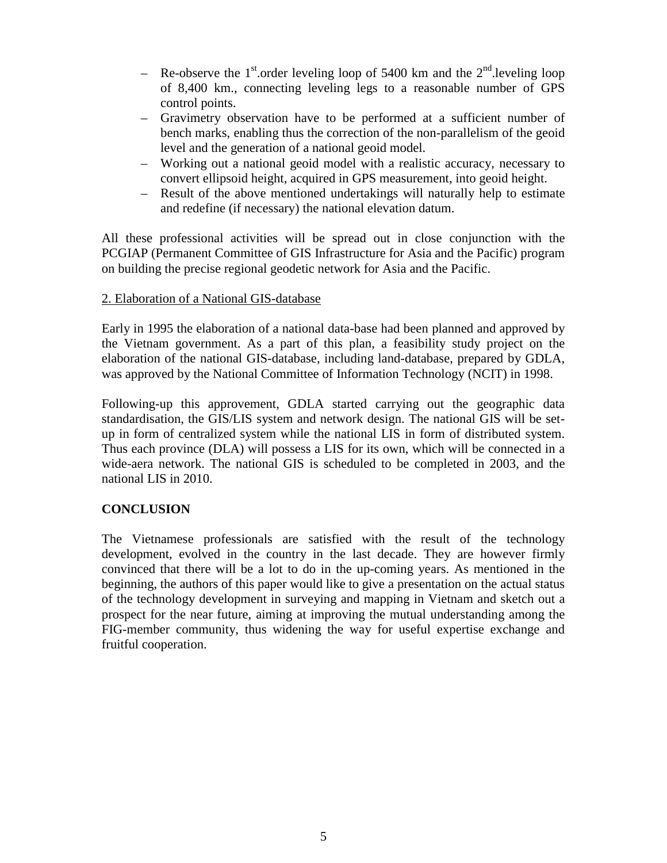- Re-observe the 1<sup>st</sup> order leveling loop of 5400 km and the  $2<sup>nd</sup>$  leveling loop of 8,400 km., connecting leveling legs to a reasonable number of GPS control points.
- Gravimetry observation have to be performed at a sufficient number of bench marks, enabling thus the correction of the non-parallelism of the geoid level and the generation of a national geoid model.
- Working out a national geoid model with a realistic accuracy, necessary to convert ellipsoid height, acquired in GPS measurement, into geoid height.
- Result of the above mentioned undertakings will naturally help to estimate and redefine (if necessary) the national elevation datum.

All these professional activities will be spread out in close conjunction with the PCGIAP (Permanent Committee of GIS Infrastructure for Asia and the Pacific) program on building the precise regional geodetic network for Asia and the Pacific.

### 2. Elaboration of a National GIS-database

Early in 1995 the elaboration of a national data-base had been planned and approved by the Vietnam government. As a part of this plan, a feasibility study project on the elaboration of the national GIS-database, including land-database, prepared by GDLA, was approved by the National Committee of Information Technology (NCIT) in 1998.

Following-up this approvement, GDLA started carrying out the geographic data standardisation, the GIS/LIS system and network design. The national GIS will be setup in form of centralized system while the national LIS in form of distributed system. Thus each province (DLA) will possess a LIS for its own, which will be connected in a wide-aera network. The national GIS is scheduled to be completed in 2003, and the national LIS in 2010.

## **CONCLUSION**

The Vietnamese professionals are satisfied with the result of the technology development, evolved in the country in the last decade. They are however firmly convinced that there will be a lot to do in the up-coming years. As mentioned in the beginning, the authors of this paper would like to give a presentation on the actual status of the technology development in surveying and mapping in Vietnam and sketch out a prospect for the near future, aiming at improving the mutual understanding among the FIG-member community, thus widening the way for useful expertise exchange and fruitful cooperation.